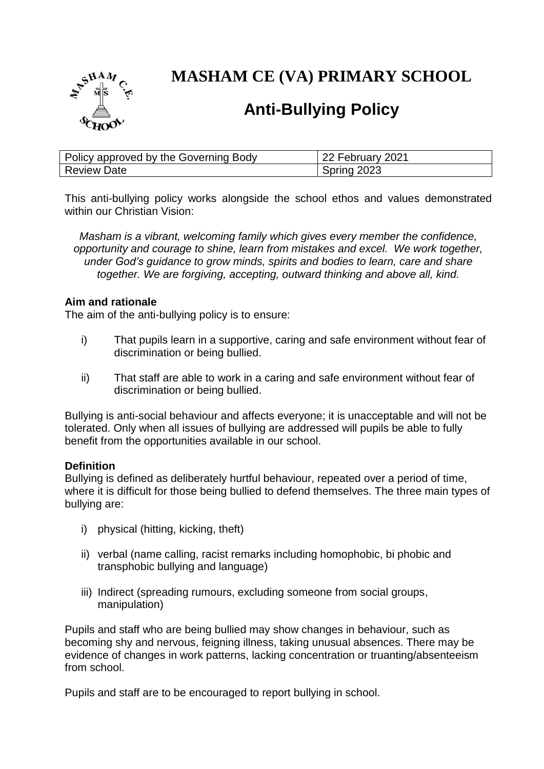

**MASHAM CE (VA) PRIMARY SCHOOL**

# **Anti-Bullying Policy**

| Policy approved by the Governing Body | 22 February 2021 |
|---------------------------------------|------------------|
| <b>Review Date</b>                    | Spring 2023      |

This anti-bullying policy works alongside the school ethos and values demonstrated within our Christian Vision:

*Masham is a vibrant, welcoming family which gives every member the confidence, opportunity and courage to shine, learn from mistakes and excel. We work together, under God's guidance to grow minds, spirits and bodies to learn, care and share together. We are forgiving, accepting, outward thinking and above all, kind.*

### **Aim and rationale**

The aim of the anti-bullying policy is to ensure:

- i) That pupils learn in a supportive, caring and safe environment without fear of discrimination or being bullied.
- ii) That staff are able to work in a caring and safe environment without fear of discrimination or being bullied.

Bullying is anti-social behaviour and affects everyone; it is unacceptable and will not be tolerated. Only when all issues of bullying are addressed will pupils be able to fully benefit from the opportunities available in our school.

### **Definition**

Bullying is defined as deliberately hurtful behaviour, repeated over a period of time, where it is difficult for those being bullied to defend themselves. The three main types of bullying are:

- i) physical (hitting, kicking, theft)
- ii) verbal (name calling, racist remarks including homophobic, bi phobic and transphobic bullying and language)
- iii) Indirect (spreading rumours, excluding someone from social groups, manipulation)

Pupils and staff who are being bullied may show changes in behaviour, such as becoming shy and nervous, feigning illness, taking unusual absences. There may be evidence of changes in work patterns, lacking concentration or truanting/absenteeism from school.

Pupils and staff are to be encouraged to report bullying in school.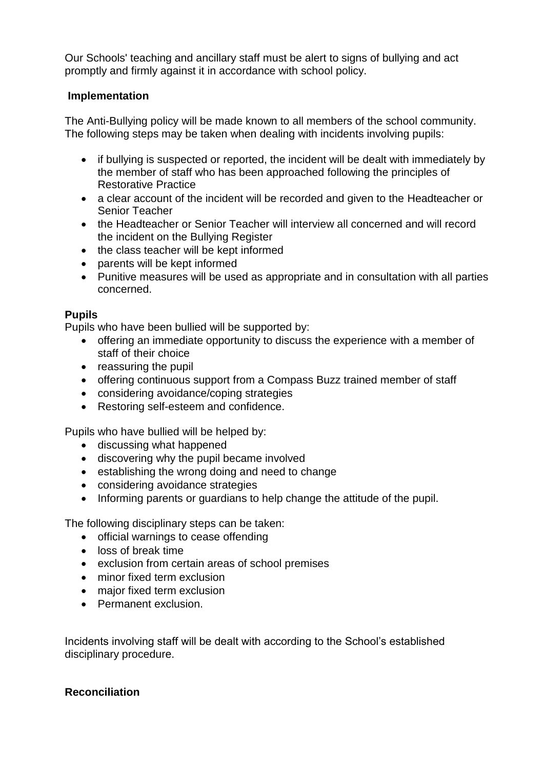Our Schools' teaching and ancillary staff must be alert to signs of bullying and act promptly and firmly against it in accordance with school policy.

# **Implementation**

The Anti-Bullying policy will be made known to all members of the school community. The following steps may be taken when dealing with incidents involving pupils:

- if bullying is suspected or reported, the incident will be dealt with immediately by the member of staff who has been approached following the principles of Restorative Practice
- a clear account of the incident will be recorded and given to the Headteacher or Senior Teacher
- the Headteacher or Senior Teacher will interview all concerned and will record the incident on the Bullying Register
- the class teacher will be kept informed
- parents will be kept informed
- Punitive measures will be used as appropriate and in consultation with all parties concerned.

# **Pupils**

Pupils who have been bullied will be supported by:

- offering an immediate opportunity to discuss the experience with a member of staff of their choice
- reassuring the pupil
- offering continuous support from a Compass Buzz trained member of staff
- considering avoidance/coping strategies
- Restoring self-esteem and confidence.

Pupils who have bullied will be helped by:

- discussing what happened
- discovering why the pupil became involved
- establishing the wrong doing and need to change
- considering avoidance strategies
- Informing parents or guardians to help change the attitude of the pupil.

The following disciplinary steps can be taken:

- official warnings to cease offending
- loss of break time
- exclusion from certain areas of school premises
- minor fixed term exclusion
- major fixed term exclusion
- Permanent exclusion.

Incidents involving staff will be dealt with according to the School's established disciplinary procedure.

# **Reconciliation**